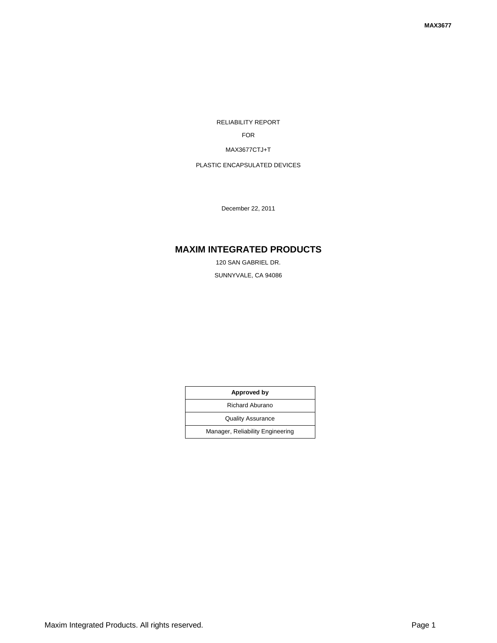RELIABILITY REPORT

FOR

#### MAX3677CTJ+T

## PLASTIC ENCAPSULATED DEVICES

December 22, 2011

# **MAXIM INTEGRATED PRODUCTS**

120 SAN GABRIEL DR. SUNNYVALE, CA 94086

| Approved by                      |  |  |  |
|----------------------------------|--|--|--|
| Richard Aburano                  |  |  |  |
| <b>Quality Assurance</b>         |  |  |  |
| Manager, Reliability Engineering |  |  |  |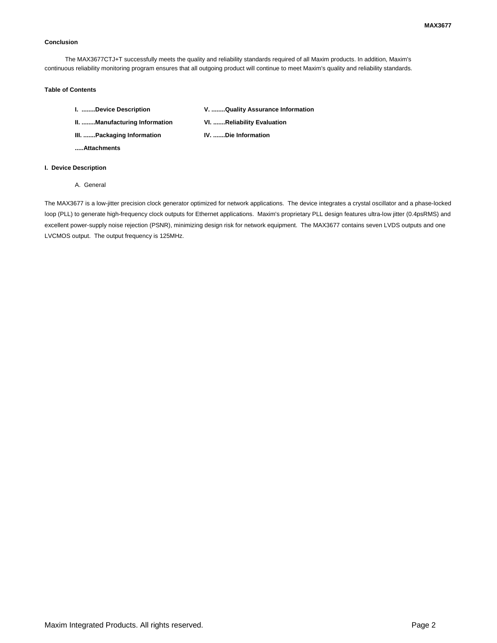#### **Conclusion**

The MAX3677CTJ+T successfully meets the quality and reliability standards required of all Maxim products. In addition, Maxim's continuous reliability monitoring program ensures that all outgoing product will continue to meet Maxim's quality and reliability standards.

### **Table of Contents**

| I. Device Description         | V. Quality Assurance Information |  |  |
|-------------------------------|----------------------------------|--|--|
| II. Manufacturing Information | VI. Reliability Evaluation       |  |  |
| III. Packaging Information    | IV. Die Information              |  |  |

**.....Attachments**

### **I. Device Description**

A. General

The MAX3677 is a low-jitter precision clock generator optimized for network applications. The device integrates a crystal oscillator and a phase-locked loop (PLL) to generate high-frequency clock outputs for Ethernet applications. Maxim's proprietary PLL design features ultra-low jitter (0.4psRMS) and excellent power-supply noise rejection (PSNR), minimizing design risk for network equipment. The MAX3677 contains seven LVDS outputs and one LVCMOS output. The output frequency is 125MHz.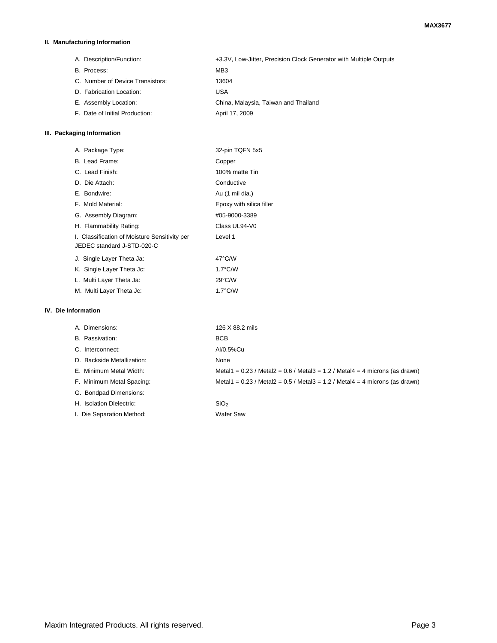### **II. Manufacturing Information**

A. Description/Function: +3.3V, Low-Jitter, Precision Clock Generator with Multiple Outputs B. Process: MB3 C. Number of Device Transistors: 13604 D. Fabrication Location: USA E. Assembly Location: China, Malaysia, Taiwan and Thailand F. Date of Initial Production: April 17, 2009

### **III. Packaging Information**

|                     | A. Package Type:                                                            | 32-pin TQFN 5x5                                                                   |
|---------------------|-----------------------------------------------------------------------------|-----------------------------------------------------------------------------------|
|                     | B. Lead Frame:                                                              | Copper                                                                            |
|                     | C. Lead Finish:                                                             | 100% matte Tin                                                                    |
|                     | D. Die Attach:                                                              | Conductive                                                                        |
|                     | E. Bondwire:                                                                | Au (1 mil dia.)                                                                   |
|                     | F. Mold Material:                                                           | Epoxy with silica filler                                                          |
|                     | G. Assembly Diagram:                                                        | #05-9000-3389                                                                     |
|                     | H. Flammability Rating:                                                     | Class UL94-V0                                                                     |
|                     | I. Classification of Moisture Sensitivity per<br>JEDEC standard J-STD-020-C | Level 1                                                                           |
|                     | J. Single Layer Theta Ja:                                                   | $47^{\circ}$ C/W                                                                  |
|                     | K. Single Layer Theta Jc:                                                   | $1.7^{\circ}$ C/W                                                                 |
|                     | L. Multi Layer Theta Ja:                                                    | $29^{\circ}$ C/W                                                                  |
|                     | M. Multi Layer Theta Jc:                                                    | $1.7^{\circ}$ C/W                                                                 |
| IV. Die Information |                                                                             |                                                                                   |
|                     | A. Dimensions:                                                              | 126 X 88.2 mils                                                                   |
|                     | B. Passivation:                                                             | <b>BCB</b>                                                                        |
|                     | C. Interconnect:                                                            | Al/0.5%Cu                                                                         |
|                     | D. Backside Metallization:                                                  | None                                                                              |
|                     | E. Minimum Metal Width:                                                     | Metal1 = $0.23$ / Metal2 = $0.6$ / Metal3 = $1.2$ / Metal4 = 4 microns (as drawn) |
|                     | F. Minimum Metal Spacing:                                                   | Metal1 = $0.23$ / Metal2 = $0.5$ / Metal3 = $1.2$ / Metal4 = 4 microns (as drawn) |

H. Isolation Dielectric: SiO<sub>2</sub> I. Die Separation Method: Wafer Saw

G. Bondpad Dimensions: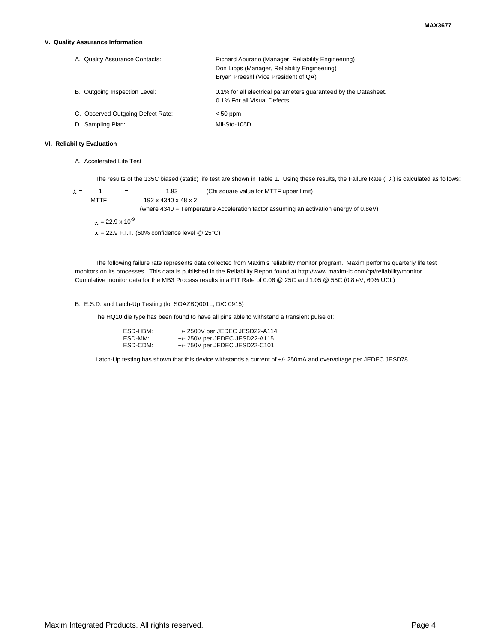#### **V. Quality Assurance Information**

| A. Quality Assurance Contacts:    | Richard Aburano (Manager, Reliability Engineering)<br>Don Lipps (Manager, Reliability Engineering)<br>Bryan Preeshl (Vice President of QA) |
|-----------------------------------|--------------------------------------------------------------------------------------------------------------------------------------------|
| B. Outgoing Inspection Level:     | 0.1% for all electrical parameters quaranteed by the Datasheet.<br>0.1% For all Visual Defects.                                            |
| C. Observed Outgoing Defect Rate: | $< 50$ ppm                                                                                                                                 |
| D. Sampling Plan:                 | Mil-Std-105D                                                                                                                               |

### **VI. Reliability Evaluation**

A. Accelerated Life Test

The results of the 135C biased (static) life test are shown in Table 1. Using these results, the Failure Rate ( $\lambda$ ) is calculated as follows:

 $\lambda = \frac{1}{\text{MTTF}}$  =  $\frac{1.83}{192 \times 4340 \times 48 \times 2}$  (Chi square value for MTTF upper limit)  $\overline{192 \times 4340 \times 48 \times 2}$ (where 4340 = Temperature Acceleration factor assuming an activation energy of 0.8eV)  $\lambda = 22.9 \times 10^{-9}$  $\lambda = 22.9$  F.I.T. (60% confidence level @ 25°C)

The following failure rate represents data collected from Maxim's reliability monitor program. Maxim performs quarterly life test monitors on its processes. This data is published in the Reliability Report found at http://www.maxim-ic.com/qa/reliability/monitor. Cumulative monitor data for the MB3 Process results in a FIT Rate of 0.06 @ 25C and 1.05 @ 55C (0.8 eV, 60% UCL)

### B. E.S.D. and Latch-Up Testing (lot SOAZBQ001L, D/C 0915)

The HQ10 die type has been found to have all pins able to withstand a transient pulse of:

| ESD-HBM: | +/- 2500V per JEDEC JESD22-A114  |
|----------|----------------------------------|
| ESD-MM:  | $+/- 250V$ per JEDEC JESD22-A115 |
| ESD-CDM: | $+/- 750V$ per JEDEC JESD22-C101 |

Latch-Up testing has shown that this device withstands a current of +/- 250mA and overvoltage per JEDEC JESD78.